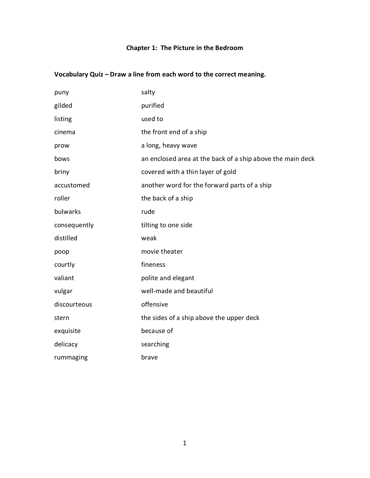### **Chapter 1: The Picture in the Bedroom**

| puny         | salty                                                      |
|--------------|------------------------------------------------------------|
| gilded       | purified                                                   |
| listing      | used to                                                    |
| cinema       | the front end of a ship                                    |
| prow         | a long, heavy wave                                         |
| bows         | an enclosed area at the back of a ship above the main deck |
| briny        | covered with a thin layer of gold                          |
| accustomed   | another word for the forward parts of a ship               |
| roller       | the back of a ship                                         |
| bulwarks     | rude                                                       |
| consequently | tilting to one side                                        |
| distilled    | weak                                                       |
| poop         | movie theater                                              |
| courtly      | fineness                                                   |
| valiant      | polite and elegant                                         |
| vulgar       | well-made and beautiful                                    |
| discourteous | offensive                                                  |
| stern        | the sides of a ship above the upper deck                   |
| exquisite    | because of                                                 |
| delicacy     | searching                                                  |
| rummaging    | brave                                                      |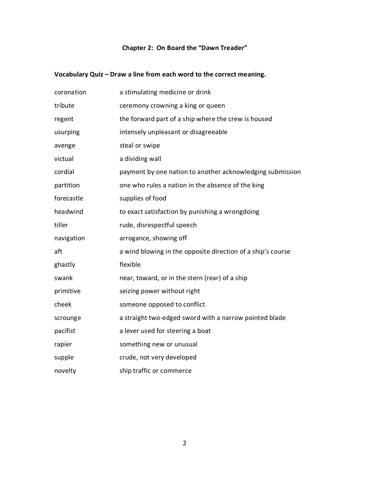#### **Chapter 2: On Board the "Dawn Treader"**

| coronation | a stimulating medicine or drink                             |
|------------|-------------------------------------------------------------|
| tribute    | ceremony crowning a king or queen                           |
| regent     | the forward part of a ship where the crew is housed         |
| usurping   | intensely unpleasant or disagreeable                        |
| avenge     | steal or swipe                                              |
| victual    | a dividing wall                                             |
| cordial    | payment by one nation to another acknowledging submission   |
| partition  | one who rules a nation in the absence of the king           |
| forecastle | supplies of food                                            |
| headwind   | to exact satisfaction by punishing a wrongdoing             |
| tiller     | rude, disrespectful speech                                  |
| navigation | arrogance, showing off                                      |
| aft        | a wind blowing in the opposite direction of a ship's course |
| ghastly    | flexible                                                    |
| swank      | near, toward, or in the stern (rear) of a ship              |
| primitive  | seizing power without right                                 |
| cheek      | someone opposed to conflict                                 |
| scrounge   | a straight two-edged sword with a narrow pointed blade      |
| pacifist   | a lever used for steering a boat                            |
| rapier     | something new or unusual                                    |
| supple     | crude, not very developed                                   |
| novelty    | ship traffic or commerce                                    |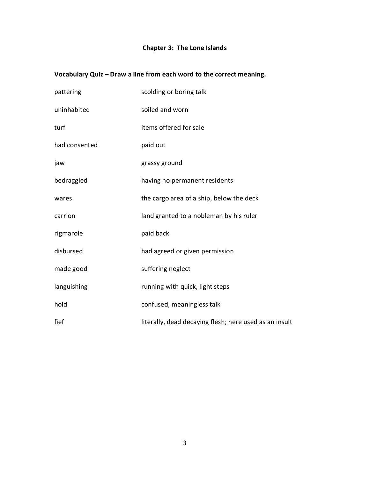### **Chapter 3: The Lone Islands**

| pattering     | scolding or boring talk                                |
|---------------|--------------------------------------------------------|
| uninhabited   | soiled and worn                                        |
| turf          | items offered for sale                                 |
| had consented | paid out                                               |
| jaw           | grassy ground                                          |
| bedraggled    | having no permanent residents                          |
| wares         | the cargo area of a ship, below the deck               |
| carrion       | land granted to a nobleman by his ruler                |
| rigmarole     | paid back                                              |
| disbursed     | had agreed or given permission                         |
| made good     | suffering neglect                                      |
| languishing   | running with quick, light steps                        |
| hold          | confused, meaningless talk                             |
| fief          | literally, dead decaying flesh; here used as an insult |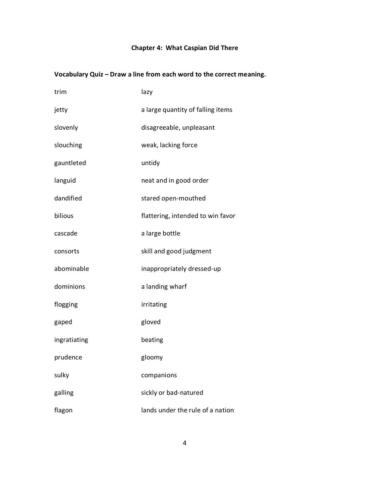### **Chapter 4: What Caspian Did There**

| trim         | lazy                              |
|--------------|-----------------------------------|
| jetty        | a large quantity of falling items |
| slovenly     | disagreeable, unpleasant          |
| slouching    | weak, lacking force               |
| gauntleted   | untidy                            |
| languid      | neat and in good order            |
| dandified    | stared open-mouthed               |
| bilious      | flattering, intended to win favor |
| cascade      | a large bottle                    |
| consorts     | skill and good judgment           |
| abominable   | inappropriately dressed-up        |
| dominions    | a landing wharf                   |
| flogging     | irritating                        |
| gaped        | gloved                            |
| ingratiating | beating                           |
| prudence     | gloomy                            |
| sulky        | companions                        |
| galling      | sickly or bad-natured             |
| flagon       | lands under the rule of a nation  |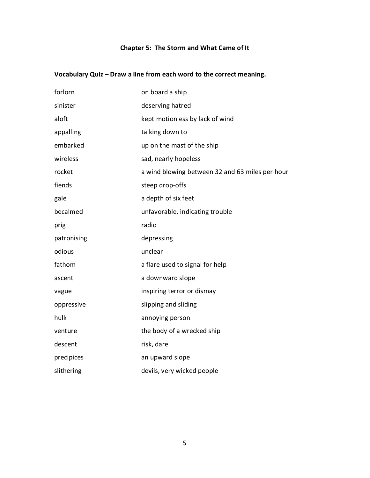### **Chapter 5: The Storm and What Came of It**

| forlorn     | on board a ship                                 |
|-------------|-------------------------------------------------|
| sinister    | deserving hatred                                |
| aloft       | kept motionless by lack of wind                 |
| appalling   | talking down to                                 |
| embarked    | up on the mast of the ship                      |
| wireless    | sad, nearly hopeless                            |
| rocket      | a wind blowing between 32 and 63 miles per hour |
| fiends      | steep drop-offs                                 |
| gale        | a depth of six feet                             |
| becalmed    | unfavorable, indicating trouble                 |
| prig        | radio                                           |
| patronising | depressing                                      |
| odious      | unclear                                         |
| fathom      | a flare used to signal for help                 |
| ascent      | a downward slope                                |
| vague       | inspiring terror or dismay                      |
| oppressive  | slipping and sliding                            |
| hulk        | annoying person                                 |
| venture     | the body of a wrecked ship                      |
| descent     | risk, dare                                      |
| precipices  | an upward slope                                 |
| slithering  | devils, very wicked people                      |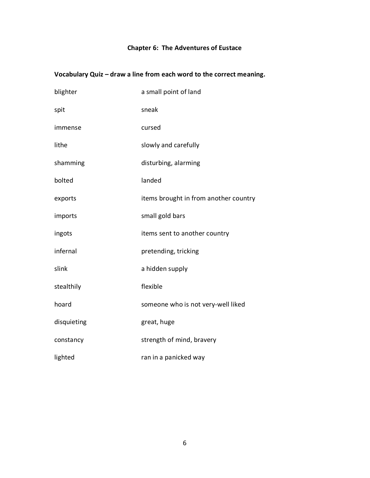### **Chapter 6: The Adventures of Eustace**

| blighter    | a small point of land                 |
|-------------|---------------------------------------|
| spit        | sneak                                 |
| immense     | cursed                                |
| lithe       | slowly and carefully                  |
| shamming    | disturbing, alarming                  |
| bolted      | landed                                |
| exports     | items brought in from another country |
| imports     | small gold bars                       |
| ingots      | items sent to another country         |
| infernal    | pretending, tricking                  |
| slink       | a hidden supply                       |
| stealthily  | flexible                              |
| hoard       | someone who is not very-well liked    |
| disquieting | great, huge                           |
| constancy   | strength of mind, bravery             |
| lighted     | ran in a panicked way                 |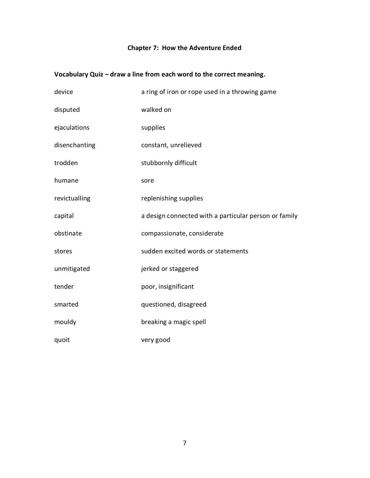### **Chapter 7: How the Adventure Ended**

| device        | a ring of iron or rope used in a throwing game        |
|---------------|-------------------------------------------------------|
| disputed      | walked on                                             |
| ejaculations  | supplies                                              |
| disenchanting | constant, unrelieved                                  |
| trodden       | stubbornly difficult                                  |
| humane        | sore                                                  |
| revictualling | replenishing supplies                                 |
| capital       | a design connected with a particular person or family |
| obstinate     | compassionate, considerate                            |
| stores        | sudden excited words or statements                    |
| unmitigated   | jerked or staggered                                   |
| tender        | poor, insignificant                                   |
| smarted       | questioned, disagreed                                 |
| mouldy        | breaking a magic spell                                |
| quoit         | very good                                             |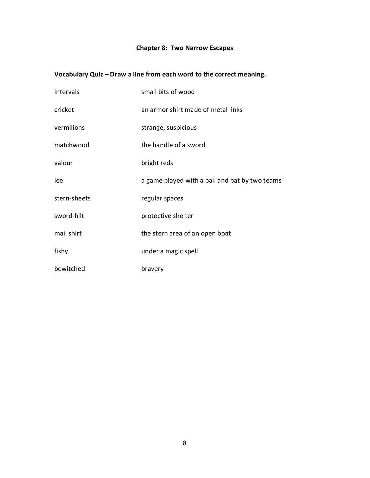# **Chapter 8: Two Narrow Escapes**

| intervals    | small bits of wood                             |
|--------------|------------------------------------------------|
| cricket      | an armor shirt made of metal links             |
| vermilions   | strange, suspicious                            |
| matchwood    | the handle of a sword                          |
| valour       | bright reds                                    |
| lee          | a game played with a ball and bat by two teams |
| stern-sheets | regular spaces                                 |
| sword-hilt   | protective shelter                             |
| mail shirt   | the stern area of an open boat                 |
| fishy        | under a magic spell                            |
| bewitched    | bravery                                        |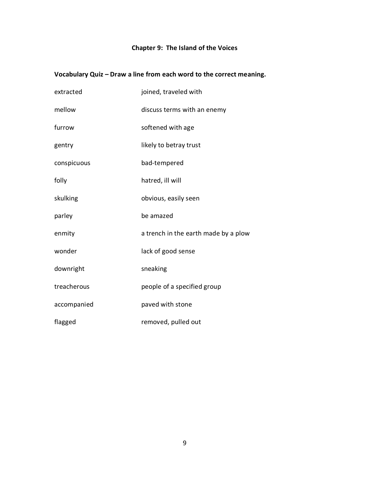### **Chapter 9: The Island of the Voices**

| extracted   | joined, traveled with                |
|-------------|--------------------------------------|
| mellow      | discuss terms with an enemy          |
| furrow      | softened with age                    |
| gentry      | likely to betray trust               |
| conspicuous | bad-tempered                         |
| folly       | hatred, ill will                     |
| skulking    | obvious, easily seen                 |
| parley      | be amazed                            |
| enmity      | a trench in the earth made by a plow |
| wonder      | lack of good sense                   |
| downright   | sneaking                             |
| treacherous | people of a specified group          |
| accompanied | paved with stone                     |
| flagged     | removed, pulled out                  |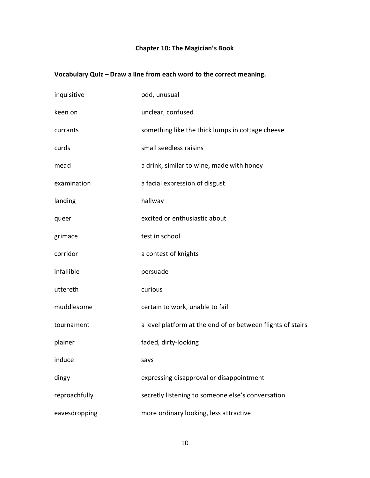# **Chapter 10: The Magician's Book**

| inquisitive   | odd, unusual                                                |
|---------------|-------------------------------------------------------------|
| keen on       | unclear, confused                                           |
| currants      | something like the thick lumps in cottage cheese            |
| curds         | small seedless raisins                                      |
| mead          | a drink, similar to wine, made with honey                   |
| examination   | a facial expression of disgust                              |
| landing       | hallway                                                     |
| queer         | excited or enthusiastic about                               |
| grimace       | test in school                                              |
| corridor      | a contest of knights                                        |
| infallible    | persuade                                                    |
| uttereth      | curious                                                     |
| muddlesome    | certain to work, unable to fail                             |
| tournament    | a level platform at the end of or between flights of stairs |
| plainer       | faded, dirty-looking                                        |
| induce        | says                                                        |
| dingy         | expressing disapproval or disappointment                    |
| reproachfully | secretly listening to someone else's conversation           |
| eavesdropping | more ordinary looking, less attractive                      |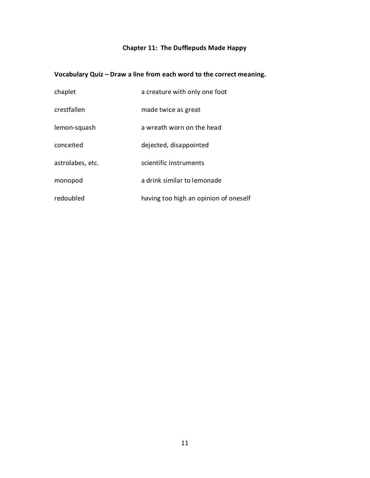# **Chapter 11: The Dufflepuds Made Happy**

| chaplet          | a creature with only one foot         |
|------------------|---------------------------------------|
| crestfallen      | made twice as great                   |
| lemon-squash     | a wreath worn on the head             |
| conceited        | dejected, disappointed                |
| astrolabes, etc. | scientific instruments                |
| monopod          | a drink similar to lemonade           |
| redoubled        | having too high an opinion of oneself |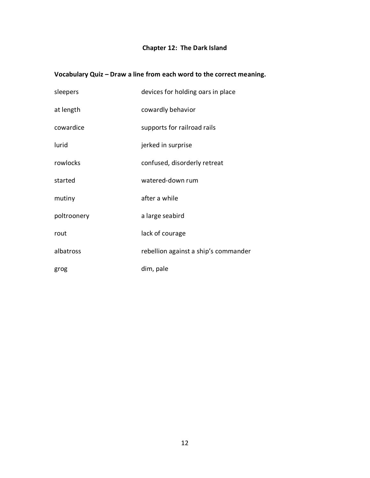### **Chapter 12: The Dark Island**

| sleepers    | devices for holding oars in place    |
|-------------|--------------------------------------|
| at length   | cowardly behavior                    |
| cowardice   | supports for railroad rails          |
| lurid       | jerked in surprise                   |
| rowlocks    | confused, disorderly retreat         |
| started     | watered-down rum                     |
| mutiny      | after a while                        |
| poltroonery | a large seabird                      |
| rout        | lack of courage                      |
| albatross   | rebellion against a ship's commander |
| grog        | dim, pale                            |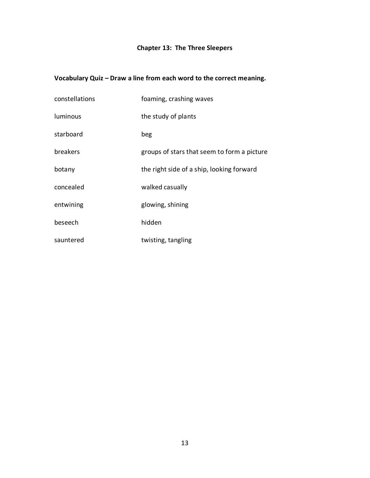# **Chapter 13: The Three Sleepers**

| constellations  | foaming, crashing waves                     |
|-----------------|---------------------------------------------|
| <b>luminous</b> | the study of plants                         |
| starboard       | beg                                         |
| breakers        | groups of stars that seem to form a picture |
| botany          | the right side of a ship, looking forward   |
| concealed       | walked casually                             |
| entwining       | glowing, shining                            |
| beseech         | hidden                                      |
| sauntered       | twisting, tangling                          |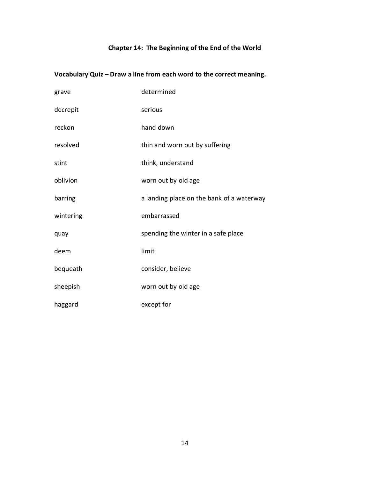# **Chapter 14: The Beginning of the End of the World**

| grave     | determined                                |
|-----------|-------------------------------------------|
| decrepit  | serious                                   |
| reckon    | hand down                                 |
| resolved  | thin and worn out by suffering            |
| stint     | think, understand                         |
| oblivion  | worn out by old age                       |
| barring   | a landing place on the bank of a waterway |
| wintering | embarrassed                               |
| quay      | spending the winter in a safe place       |
| deem      | limit                                     |
| bequeath  | consider, believe                         |
| sheepish  | worn out by old age                       |
| haggard   | except for                                |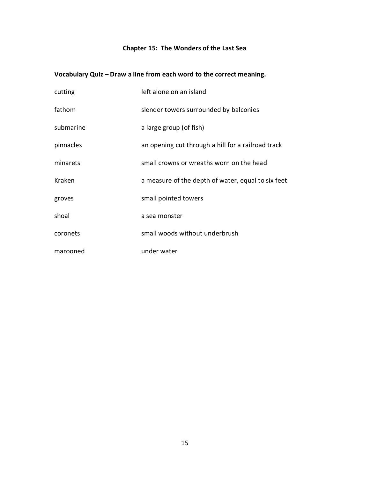### **Chapter 15: The Wonders of the Last Sea**

| cutting   | left alone on an island                            |
|-----------|----------------------------------------------------|
| fathom    | slender towers surrounded by balconies             |
| submarine | a large group (of fish)                            |
| pinnacles | an opening cut through a hill for a railroad track |
| minarets  | small crowns or wreaths worn on the head           |
| Kraken    | a measure of the depth of water, equal to six feet |
| groves    | small pointed towers                               |
| shoal     | a sea monster                                      |
| coronets  | small woods without underbrush                     |
| marooned  | under water                                        |